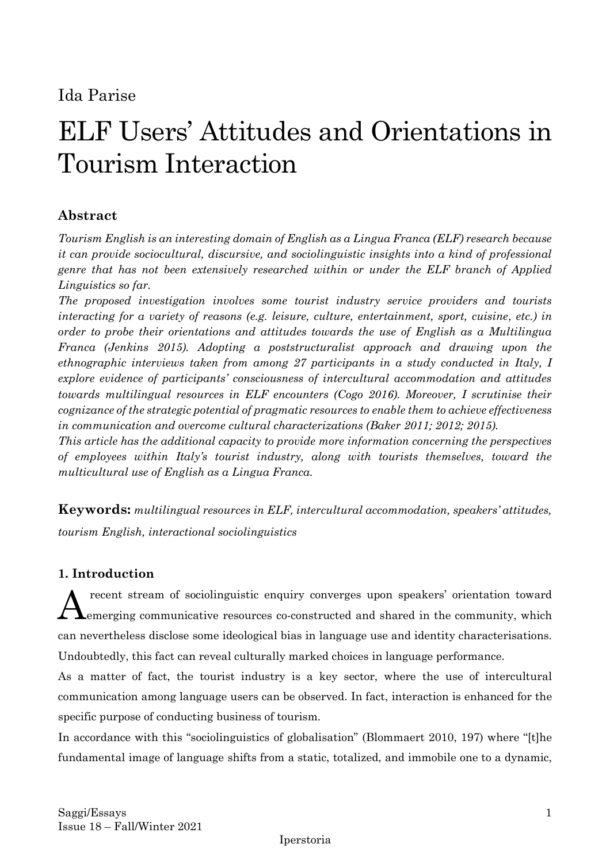## Ida Parise

# ELF Users' Attitudes and Orientations in Tourism Interaction

## **Abstract**

*Tourism English is an interesting domain of English as a Lingua Franca (ELF) research because it can provide sociocultural, discursive, and sociolinguistic insights into a kind of professional genre that has not been extensively researched within or under the ELF branch of Applied Linguistics so far.* 

*The proposed investigation involves some tourist industry service providers and tourists interacting for a variety of reasons (e.g. leisure, culture, entertainment, sport, cuisine, etc.) in order to probe their orientations and attitudes towards the use of English as a Multilingua Franca (Jenkins 2015). Adopting a poststructuralist approach and drawing upon the ethnographic interviews taken from among 27 participants in a study conducted in Italy, I explore evidence of participants' consciousness of intercultural accommodation and attitudes towards multilingual resources in ELF encounters (Cogo 2016). Moreover, I scrutinise their cognizance of the strategic potential of pragmatic resources to enable them to achieve effectiveness in communication and overcome cultural characterizations (Baker 2011; 2012; 2015).*

*This article has the additional capacity to provide more information concerning the perspectives of employees within Italy's tourist industry, along with tourists themselves, toward the multicultural use of English as a Lingua Franca.*

**Keywords:** *multilingual resources in ELF, intercultural accommodation, speakers' attitudes, tourism English, interactional sociolinguistics*

## **1. Introduction**

recent stream of sociolinguistic enquiry converges upon speakers' orientation toward emerging communicative resources co-constructed and shared in the community, which can nevertheless disclose some ideological bias in language use and identity characterisations. Undoubtedly, this fact can reveal culturally marked choices in language performance. A

As a matter of fact, the tourist industry is a key sector, where the use of intercultural communication among language users can be observed. In fact, interaction is enhanced for the specific purpose of conducting business of tourism.

In accordance with this "sociolinguistics of globalisation" (Blommaert 2010, 197) where "[t]he fundamental image of language shifts from a static, totalized, and immobile one to a dynamic,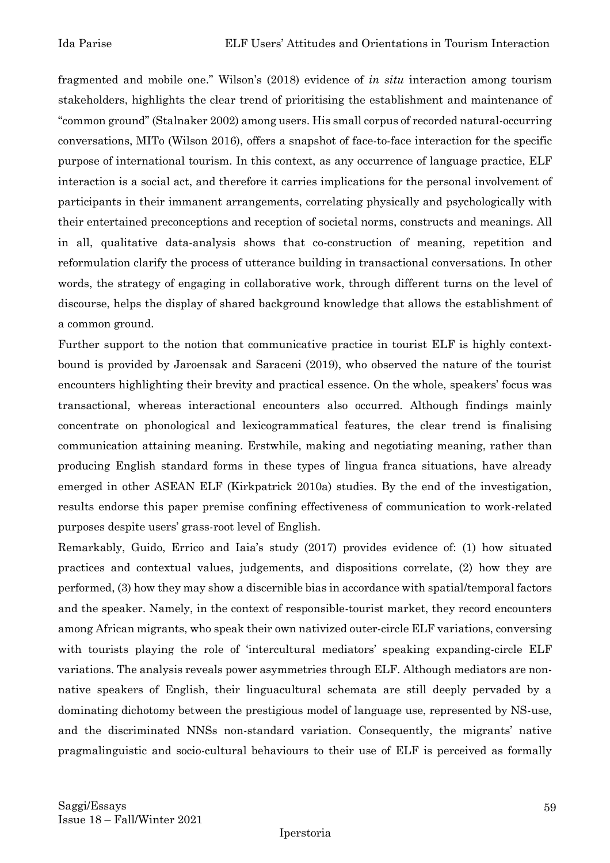fragmented and mobile one." Wilson's (2018) evidence of *in situ* interaction among tourism stakeholders, highlights the clear trend of prioritising the establishment and maintenance of "common ground" (Stalnaker 2002) among users. His small corpus of recorded natural-occurring conversations, MITo (Wilson 2016), offers a snapshot of face-to-face interaction for the specific purpose of international tourism. In this context, as any occurrence of language practice, ELF interaction is a social act, and therefore it carries implications for the personal involvement of participants in their immanent arrangements, correlating physically and psychologically with their entertained preconceptions and reception of societal norms, constructs and meanings. All in all, qualitative data-analysis shows that co-construction of meaning, repetition and reformulation clarify the process of utterance building in transactional conversations. In other words, the strategy of engaging in collaborative work, through different turns on the level of discourse, helps the display of shared background knowledge that allows the establishment of a common ground.

Further support to the notion that communicative practice in tourist ELF is highly contextbound is provided by Jaroensak and Saraceni (2019), who observed the nature of the tourist encounters highlighting their brevity and practical essence. On the whole, speakers' focus was transactional, whereas interactional encounters also occurred. Although findings mainly concentrate on phonological and lexicogrammatical features, the clear trend is finalising communication attaining meaning. Erstwhile, making and negotiating meaning, rather than producing English standard forms in these types of lingua franca situations, have already emerged in other ASEAN ELF (Kirkpatrick 2010a) studies. By the end of the investigation, results endorse this paper premise confining effectiveness of communication to work-related purposes despite users' grass-root level of English.

Remarkably, Guido, Errico and Iaia's study (2017) provides evidence of: (1) how situated practices and contextual values, judgements, and dispositions correlate, (2) how they are performed, (3) how they may show a discernible bias in accordance with spatial/temporal factors and the speaker. Namely, in the context of responsible-tourist market, they record encounters among African migrants, who speak their own nativized outer-circle ELF variations, conversing with tourists playing the role of 'intercultural mediators' speaking expanding-circle ELF variations. The analysis reveals power asymmetries through ELF. Although mediators are nonnative speakers of English, their linguacultural schemata are still deeply pervaded by a dominating dichotomy between the prestigious model of language use, represented by NS-use, and the discriminated NNSs non-standard variation. Consequently, the migrants' native pragmalinguistic and socio-cultural behaviours to their use of ELF is perceived as formally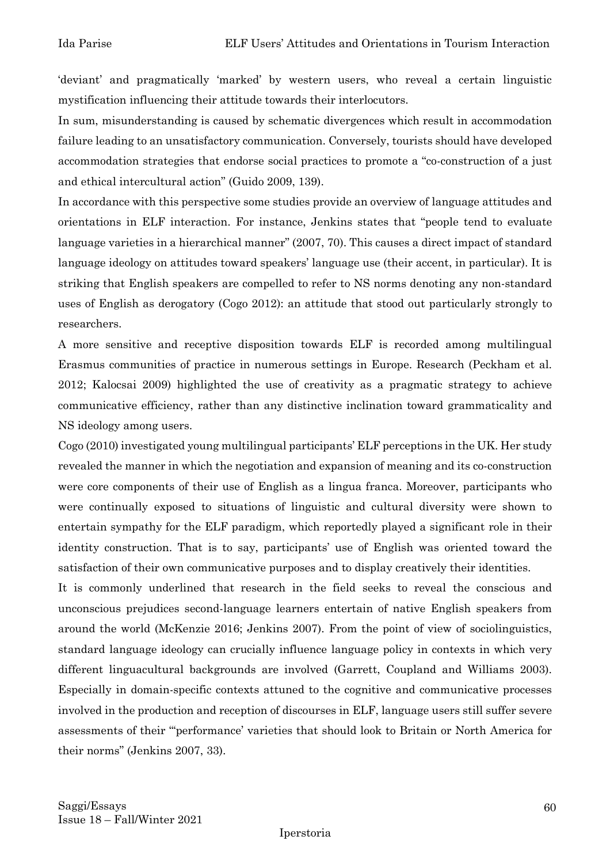'deviant' and pragmatically 'marked' by western users, who reveal a certain linguistic mystification influencing their attitude towards their interlocutors.

In sum, misunderstanding is caused by schematic divergences which result in accommodation failure leading to an unsatisfactory communication. Conversely, tourists should have developed accommodation strategies that endorse social practices to promote a "co-construction of a just and ethical intercultural action" (Guido 2009, 139).

In accordance with this perspective some studies provide an overview of language attitudes and orientations in ELF interaction. For instance, Jenkins states that "people tend to evaluate language varieties in a hierarchical manner" (2007, 70). This causes a direct impact of standard language ideology on attitudes toward speakers' language use (their accent, in particular). It is striking that English speakers are compelled to refer to NS norms denoting any non-standard uses of English as derogatory (Cogo 2012): an attitude that stood out particularly strongly to researchers.

A more sensitive and receptive disposition towards ELF is recorded among multilingual Erasmus communities of practice in numerous settings in Europe. Research (Peckham et al. 2012; Kalocsai 2009) highlighted the use of creativity as a pragmatic strategy to achieve communicative efficiency, rather than any distinctive inclination toward grammaticality and NS ideology among users.

Cogo (2010) investigated young multilingual participants' ELF perceptions in the UK. Her study revealed the manner in which the negotiation and expansion of meaning and its co-construction were core components of their use of English as a lingua franca. Moreover, participants who were continually exposed to situations of linguistic and cultural diversity were shown to entertain sympathy for the ELF paradigm, which reportedly played a significant role in their identity construction. That is to say, participants' use of English was oriented toward the satisfaction of their own communicative purposes and to display creatively their identities.

It is commonly underlined that research in the field seeks to reveal the conscious and unconscious prejudices second-language learners entertain of native English speakers from around the world (McKenzie 2016; Jenkins 2007). From the point of view of sociolinguistics, standard language ideology can crucially influence language policy in contexts in which very different linguacultural backgrounds are involved (Garrett, Coupland and Williams 2003). Especially in domain-specific contexts attuned to the cognitive and communicative processes involved in the production and reception of discourses in ELF, language users still suffer severe assessments of their "'performance' varieties that should look to Britain or North America for their norms" (Jenkins 2007, 33).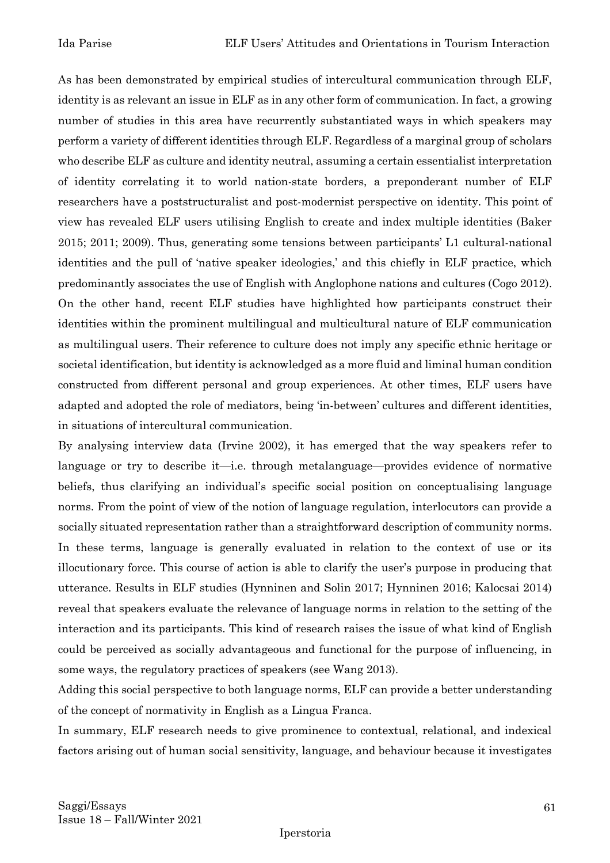As has been demonstrated by empirical studies of intercultural communication through ELF, identity is as relevant an issue in ELF as in any other form of communication. In fact, a growing number of studies in this area have recurrently substantiated ways in which speakers may perform a variety of different identities through ELF. Regardless of a marginal group of scholars who describe ELF as culture and identity neutral, assuming a certain essentialist interpretation of identity correlating it to world nation-state borders, a preponderant number of ELF researchers have a poststructuralist and post-modernist perspective on identity. This point of view has revealed ELF users utilising English to create and index multiple identities (Baker 2015; 2011; 2009). Thus, generating some tensions between participants' L1 cultural-national identities and the pull of 'native speaker ideologies,' and this chiefly in ELF practice, which predominantly associates the use of English with Anglophone nations and cultures (Cogo 2012). On the other hand, recent ELF studies have highlighted how participants construct their identities within the prominent multilingual and multicultural nature of ELF communication as multilingual users. Their reference to culture does not imply any specific ethnic heritage or societal identification, but identity is acknowledged as a more fluid and liminal human condition constructed from different personal and group experiences. At other times, ELF users have adapted and adopted the role of mediators, being 'in-between' cultures and different identities, in situations of intercultural communication.

By analysing interview data (Irvine 2002), it has emerged that the way speakers refer to language or try to describe it—i.e. through metalanguage—provides evidence of normative beliefs, thus clarifying an individual's specific social position on conceptualising language norms. From the point of view of the notion of language regulation, interlocutors can provide a socially situated representation rather than a straightforward description of community norms. In these terms, language is generally evaluated in relation to the context of use or its illocutionary force. This course of action is able to clarify the user's purpose in producing that utterance. Results in ELF studies (Hynninen and Solin 2017; Hynninen 2016; Kalocsai 2014) reveal that speakers evaluate the relevance of language norms in relation to the setting of the interaction and its participants. This kind of research raises the issue of what kind of English could be perceived as socially advantageous and functional for the purpose of influencing, in some ways, the regulatory practices of speakers (see Wang 2013).

Adding this social perspective to both language norms, ELF can provide a better understanding of the concept of normativity in English as a Lingua Franca.

In summary, ELF research needs to give prominence to contextual, relational, and indexical factors arising out of human social sensitivity, language, and behaviour because it investigates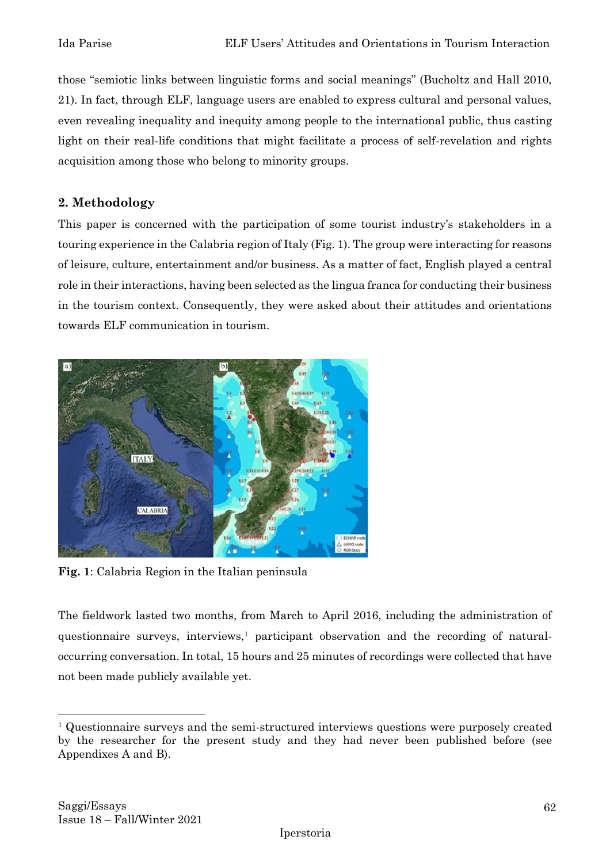those "semiotic links between linguistic forms and social meanings" (Bucholtz and Hall 2010, 21). In fact, through ELF, language users are enabled to express cultural and personal values, even revealing inequality and inequity among people to the international public, thus casting light on their real-life conditions that might facilitate a process of self-revelation and rights acquisition among those who belong to minority groups.

## **2. Methodology**

This paper is concerned with the participation of some tourist industry's stakeholders in a touring experience in the Calabria region of Italy (Fig. 1). The group were interacting for reasons of leisure, culture, entertainment and/or business. As a matter of fact, English played a central role in their interactions, having been selected as the lingua franca for conducting their business in the tourism context. Consequently, they were asked about their attitudes and orientations towards ELF communication in tourism.



**Fig. 1**: Calabria Region in the Italian peninsula

The fieldwork lasted two months, from March to April 2016, including the administration of questionnaire surveys, interviews,<sup>1</sup> participant observation and the recording of naturaloccurring conversation. In total, 15 hours and 25 minutes of recordings were collected that have not been made publicly available yet.

<sup>1</sup> Questionnaire surveys and the semi-structured interviews questions were purposely created by the researcher for the present study and they had never been published before (see Appendixes A and B).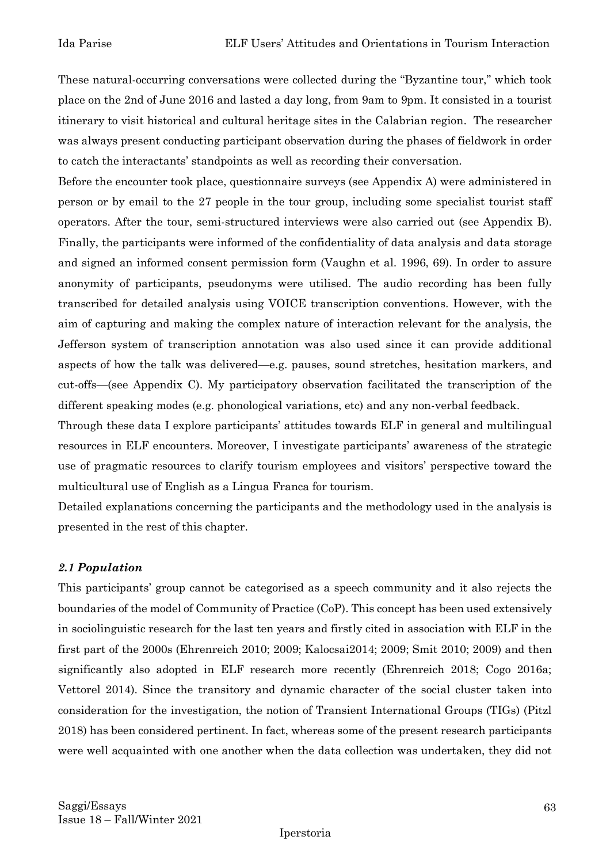These natural-occurring conversations were collected during the "Byzantine tour," which took place on the 2nd of June 2016 and lasted a day long, from 9am to 9pm. It consisted in a tourist itinerary to visit historical and cultural heritage sites in the Calabrian region. The researcher was always present conducting participant observation during the phases of fieldwork in order to catch the interactants' standpoints as well as recording their conversation.

Before the encounter took place, questionnaire surveys (see Appendix A) were administered in person or by email to the 27 people in the tour group, including some specialist tourist staff operators. After the tour, semi-structured interviews were also carried out (see Appendix B). Finally, the participants were informed of the confidentiality of data analysis and data storage and signed an informed consent permission form (Vaughn et al. 1996, 69). In order to assure anonymity of participants, pseudonyms were utilised. The audio recording has been fully transcribed for detailed analysis using VOICE transcription conventions. However, with the aim of capturing and making the complex nature of interaction relevant for the analysis, the Jefferson system of transcription annotation was also used since it can provide additional aspects of how the talk was delivered—e.g. pauses, sound stretches, hesitation markers, and cut-offs—(see Appendix C). My participatory observation facilitated the transcription of the different speaking modes (e.g. phonological variations, etc) and any non-verbal feedback.

Through these data I explore participants' attitudes towards ELF in general and multilingual resources in ELF encounters. Moreover, I investigate participants' awareness of the strategic use of pragmatic resources to clarify tourism employees and visitors' perspective toward the multicultural use of English as a Lingua Franca for tourism.

Detailed explanations concerning the participants and the methodology used in the analysis is presented in the rest of this chapter.

#### *2.1 Population*

This participants' group cannot be categorised as a speech community and it also rejects the boundaries of the model of Community of Practice (CoP). This concept has been used extensively in sociolinguistic research for the last ten years and firstly cited in association with ELF in the first part of the 2000s (Ehrenreich 2010; 2009; Kalocsai2014; 2009; Smit 2010; 2009) and then significantly also adopted in ELF research more recently (Ehrenreich 2018; Cogo 2016a; Vettorel 2014). Since the transitory and dynamic character of the social cluster taken into consideration for the investigation, the notion of Transient International Groups (TIGs) (Pitzl 2018) has been considered pertinent. In fact, whereas some of the present research participants were well acquainted with one another when the data collection was undertaken, they did not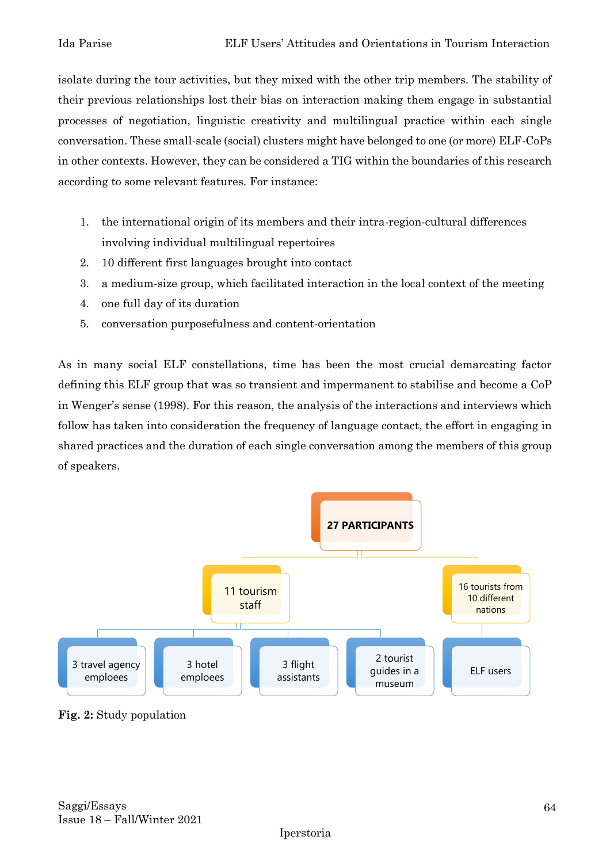isolate during the tour activities, but they mixed with the other trip members. The stability of their previous relationships lost their bias on interaction making them engage in substantial processes of negotiation, linguistic creativity and multilingual practice within each single conversation. These small-scale (social) clusters might have belonged to one (or more) ELF-CoPs in other contexts. However, they can be considered a TIG within the boundaries of this research according to some relevant features. For instance:

- 1. the international origin of its members and their intra-region-cultural differences involving individual multilingual repertoires
- 2. 10 different first languages brought into contact
- 3. a medium-size group, which facilitated interaction in the local context of the meeting
- 4. one full day of its duration
- 5. conversation purposefulness and content-orientation

As in many social ELF constellations, time has been the most crucial demarcating factor defining this ELF group that was so transient and impermanent to stabilise and become a CoP in Wenger's sense (1998). For this reason, the analysis of the interactions and interviews which follow has taken into consideration the frequency of language contact, the effort in engaging in shared practices and the duration of each single conversation among the members of this group of speakers.



**Fig. 2:** Study population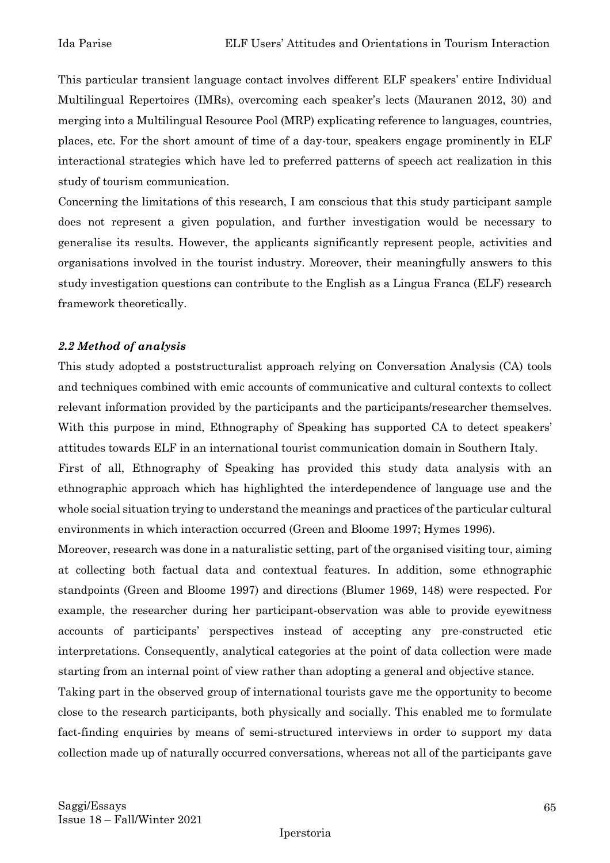This particular transient language contact involves different ELF speakers' entire Individual Multilingual Repertoires (IMRs), overcoming each speaker's lects (Mauranen 2012, 30) and merging into a Multilingual Resource Pool (MRP) explicating reference to languages, countries, places, etc. For the short amount of time of a day-tour, speakers engage prominently in ELF interactional strategies which have led to preferred patterns of speech act realization in this study of tourism communication.

Concerning the limitations of this research, I am conscious that this study participant sample does not represent a given population, and further investigation would be necessary to generalise its results. However, the applicants significantly represent people, activities and organisations involved in the tourist industry. Moreover, their meaningfully answers to this study investigation questions can contribute to the English as a Lingua Franca (ELF) research framework theoretically.

#### *2.2 Method of analysis*

This study adopted a poststructuralist approach relying on Conversation Analysis (CA) tools and techniques combined with emic accounts of communicative and cultural contexts to collect relevant information provided by the participants and the participants/researcher themselves. With this purpose in mind, Ethnography of Speaking has supported CA to detect speakers' attitudes towards ELF in an international tourist communication domain in Southern Italy.

First of all, Ethnography of Speaking has provided this study data analysis with an ethnographic approach which has highlighted the interdependence of language use and the whole social situation trying to understand the meanings and practices of the particular cultural environments in which interaction occurred (Green and Bloome 1997; Hymes 1996).

Moreover, research was done in a naturalistic setting, part of the organised visiting tour, aiming at collecting both factual data and contextual features. In addition, some ethnographic standpoints (Green and Bloome 1997) and directions (Blumer 1969, 148) were respected. For example, the researcher during her participant-observation was able to provide eyewitness accounts of participants' perspectives instead of accepting any pre-constructed etic interpretations. Consequently, analytical categories at the point of data collection were made starting from an internal point of view rather than adopting a general and objective stance.

Taking part in the observed group of international tourists gave me the opportunity to become close to the research participants, both physically and socially. This enabled me to formulate fact-finding enquiries by means of semi-structured interviews in order to support my data collection made up of naturally occurred conversations, whereas not all of the participants gave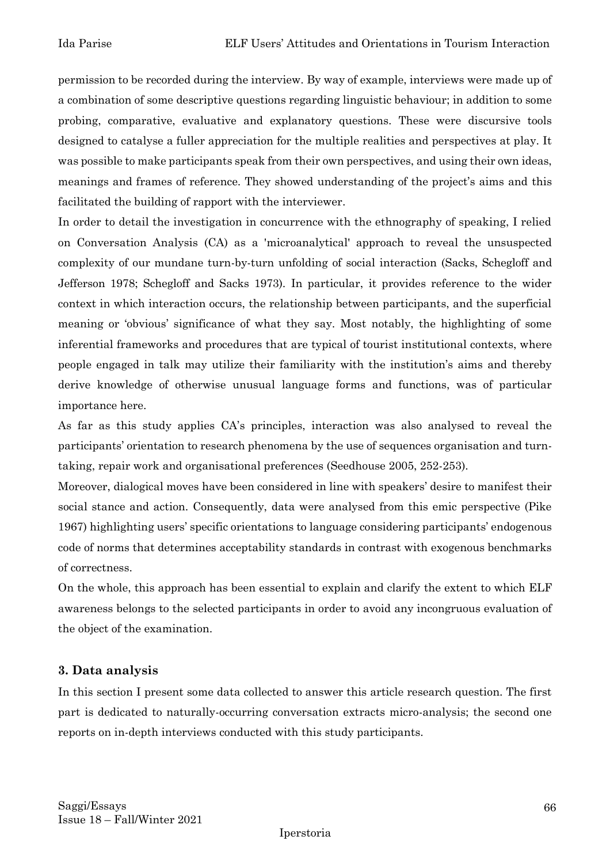permission to be recorded during the interview. By way of example, interviews were made up of a combination of some descriptive questions regarding linguistic behaviour; in addition to some probing, comparative, evaluative and explanatory questions. These were discursive tools designed to catalyse a fuller appreciation for the multiple realities and perspectives at play. It was possible to make participants speak from their own perspectives, and using their own ideas, meanings and frames of reference. They showed understanding of the project's aims and this facilitated the building of rapport with the interviewer.

In order to detail the investigation in concurrence with the ethnography of speaking, I relied on Conversation Analysis (CA) as a 'microanalytical' approach to reveal the unsuspected complexity of our mundane turn-by-turn unfolding of social interaction (Sacks, Schegloff and Jefferson 1978; Schegloff and Sacks 1973). In particular, it provides reference to the wider context in which interaction occurs, the relationship between participants, and the superficial meaning or 'obvious' significance of what they say. Most notably, the highlighting of some inferential frameworks and procedures that are typical of tourist institutional contexts, where people engaged in talk may utilize their familiarity with the institution's aims and thereby derive knowledge of otherwise unusual language forms and functions, was of particular importance here.

As far as this study applies CA's principles, interaction was also analysed to reveal the participants' orientation to research phenomena by the use of sequences organisation and turntaking, repair work and organisational preferences (Seedhouse 2005, 252-253).

Moreover, dialogical moves have been considered in line with speakers' desire to manifest their social stance and action. Consequently, data were analysed from this emic perspective (Pike 1967) highlighting users' specific orientations to language considering participants' endogenous code of norms that determines acceptability standards in contrast with exogenous benchmarks of correctness.

On the whole, this approach has been essential to explain and clarify the extent to which ELF awareness belongs to the selected participants in order to avoid any incongruous evaluation of the object of the examination.

## **3. Data analysis**

In this section I present some data collected to answer this article research question. The first part is dedicated to naturally-occurring conversation extracts micro-analysis; the second one reports on in-depth interviews conducted with this study participants.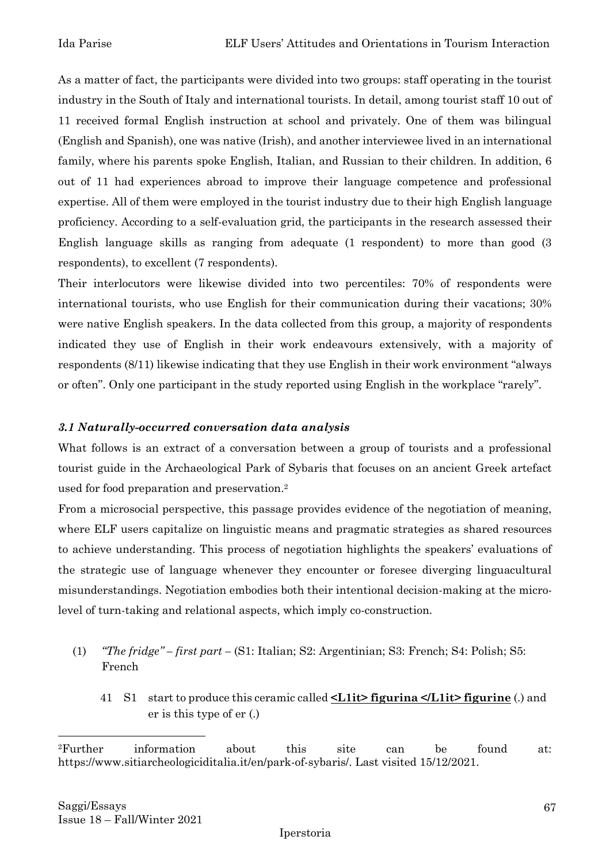As a matter of fact, the participants were divided into two groups: staff operating in the tourist industry in the South of Italy and international tourists. In detail, among tourist staff 10 out of 11 received formal English instruction at school and privately. One of them was bilingual (English and Spanish), one was native (Irish), and another interviewee lived in an international family, where his parents spoke English, Italian, and Russian to their children. In addition, 6 out of 11 had experiences abroad to improve their language competence and professional expertise. All of them were employed in the tourist industry due to their high English language proficiency. According to a self-evaluation grid, the participants in the research assessed their English language skills as ranging from adequate (1 respondent) to more than good (3 respondents), to excellent (7 respondents).

Their interlocutors were likewise divided into two percentiles: 70% of respondents were international tourists, who use English for their communication during their vacations; 30% were native English speakers. In the data collected from this group, a majority of respondents indicated they use of English in their work endeavours extensively, with a majority of respondents (8/11) likewise indicating that they use English in their work environment "always or often". Only one participant in the study reported using English in the workplace "rarely".

#### *3.1 Naturally-occurred conversation data analysis*

What follows is an extract of a conversation between a group of tourists and a professional tourist guide in the Archaeological Park of Sybaris that focuses on an ancient Greek artefact used for food preparation and preservation. 2

From a microsocial perspective, this passage provides evidence of the negotiation of meaning, where ELF users capitalize on linguistic means and pragmatic strategies as shared resources to achieve understanding. This process of negotiation highlights the speakers' evaluations of the strategic use of language whenever they encounter or foresee diverging linguacultural misunderstandings. Negotiation embodies both their intentional decision-making at the microlevel of turn-taking and relational aspects, which imply co-construction.

- (1) *"The fridge" – first part –* (S1: Italian; S2: Argentinian; S3: French; S4: Polish; S5: French
	- 41 S1 start to produce this ceramic called **<L1it> figurina </L1it> figurine** (.) and er is this type of er (.)

<sup>2</sup>Further information about this site can be found at: https://www.sitiarcheologiciditalia.it/en/park-of-sybaris/. Last visited 15/12/2021.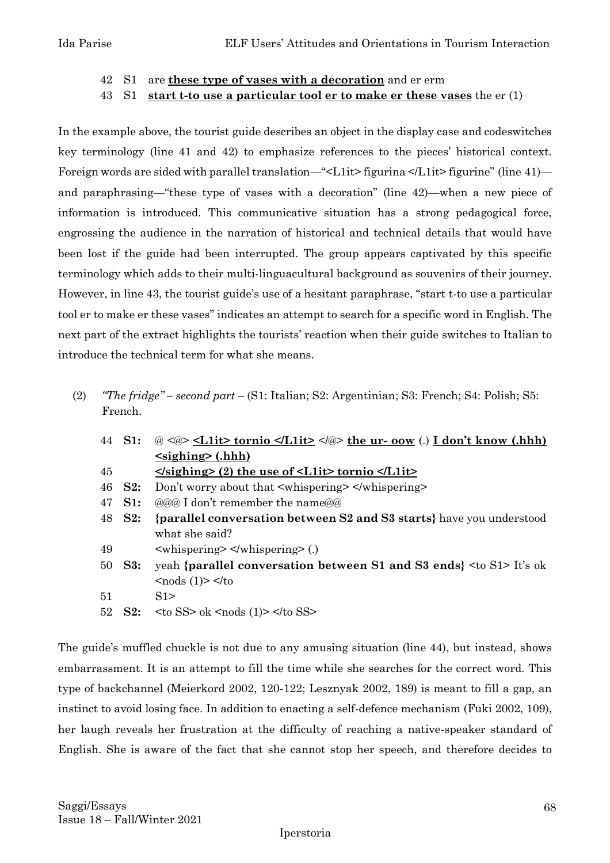#### 42 S1 are **these type of vases with a decoration** and er erm

#### 43 S1 **start t-to use a particular tool er to make er these vases** the er (1)

In the example above, the tourist guide describes an object in the display case and codeswitches key terminology (line 41 and 42) to emphasize references to the pieces' historical context. Foreign words are sided with parallel translation—"<L1it> figurina </L1it> figurine" (line 41) and paraphrasing—"these type of vases with a decoration" (line 42)—when a new piece of information is introduced. This communicative situation has a strong pedagogical force, engrossing the audience in the narration of historical and technical details that would have been lost if the guide had been interrupted. The group appears captivated by this specific terminology which adds to their multi-linguacultural background as souvenirs of their journey. However, in line 43, the tourist guide's use of a hesitant paraphrase, "start t-to use a particular tool er to make er these vases" indicates an attempt to search for a specific word in English. The next part of the extract highlights the tourists' reaction when their guide switches to Italian to introduce the technical term for what she means.

(2) *"The fridge" – second part –* (S1: Italian; S2: Argentinian; S3: French; S4: Polish; S5: French.

| 44 | S1:            | @ <@> <l1it <="" a="" l1it="" tornio="">   the ur- oow (.) I don't know (.hhh)</l1it> |  |
|----|----------------|---------------------------------------------------------------------------------------|--|
|    |                | $\langle$ sighing> (.hhh)                                                             |  |
| 45 |                | $\le$ /sighing> (2) the use of $\le$ L1it> tornio $\le$ /L1it>                        |  |
| 46 | S2:            | Don't worry about that <whispering> </whispering>                                     |  |
| 47 | S1:            | $\omega$ as I don't remember the name $\omega$                                        |  |
| 48 | S2:            | {parallel conversation between S2 and S3 starts} have you understood                  |  |
|    |                | what she said?                                                                        |  |
| 49 |                | $\langle$ whispering $\rangle$ $\langle$ /whispering $\rangle$ (.)                    |  |
| 50 | $\mathbf{S3:}$ | yeah {parallel conversation between S1 and S3 ends $\langle \cos S1 \rangle$ It's ok  |  |
|    |                | $\langle \text{nodes} (1) \rangle \langle \text{to}$                                  |  |
| 51 |                | S1                                                                                    |  |
| 52 | S2:            | $\langle$ to SS $>$ ok $\langle$ nods (1) $>$ $\langle$ to SS $>$                     |  |

The guide's muffled chuckle is not due to any amusing situation (line 44), but instead, shows embarrassment. It is an attempt to fill the time while she searches for the correct word. This type of backchannel (Meierkord 2002, 120-122; Lesznyak 2002, 189) is meant to fill a gap, an instinct to avoid losing face. In addition to enacting a self-defence mechanism (Fuki 2002, 109), her laugh reveals her frustration at the difficulty of reaching a native-speaker standard of English. She is aware of the fact that she cannot stop her speech, and therefore decides to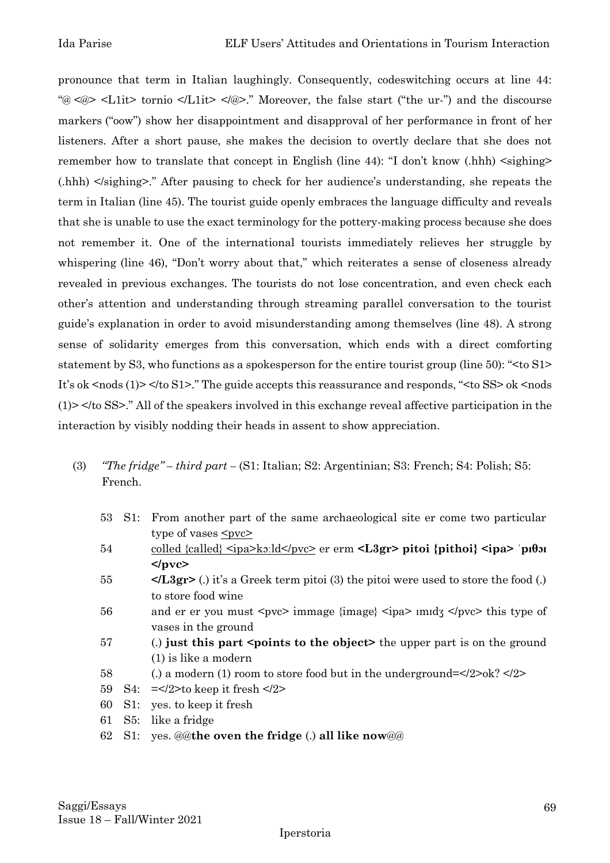pronounce that term in Italian laughingly. Consequently, codeswitching occurs at line 44: "@ <@> <L1it> tornio </L1it> </@>." Moreover, the false start ("the ur-") and the discourse markers ("oow") show her disappointment and disapproval of her performance in front of her listeners. After a short pause, she makes the decision to overtly declare that she does not remember how to translate that concept in English (line  $44$ ): "I don't know (.hhh)  $\leq$ sighing $\geq$ (.hhh) </sighing>." After pausing to check for her audience's understanding, she repeats the term in Italian (line 45). The tourist guide openly embraces the language difficulty and reveals that she is unable to use the exact terminology for the pottery-making process because she does not remember it. One of the international tourists immediately relieves her struggle by whispering (line 46), "Don't worry about that," which reiterates a sense of closeness already revealed in previous exchanges. The tourists do not lose concentration, and even check each other's attention and understanding through streaming parallel conversation to the tourist guide's explanation in order to avoid misunderstanding among themselves (line 48). A strong sense of solidarity emerges from this conversation, which ends with a direct comforting statement by S3, who functions as a spokesperson for the entire tourist group (line 50): "<to S1> It's ok <nods (1) > </to S1 >." The guide accepts this reassurance and responds, "<to SS > ok <nods (1)> </to SS>." All of the speakers involved in this exchange reveal affective participation in the interaction by visibly nodding their heads in assent to show appreciation.

- (3) *"The fridge" – third part –* (S1: Italian; S2: Argentinian; S3: French; S4: Polish; S5: French.
	- 53 S1: From another part of the same archaeological site er come two particular type of vases  $\leq pvc$ 54 colled {called}  $\langle \text{ipa}\rangle$  ko:ld $\langle \text{pvc}\rangle$  er erm  $\langle \text{L3gr}\rangle$  pitoi {pithoi}  $\langle \text{ipa}\rangle$  <sup>-</sup> $\langle \text{pifb}$ **</pvc>** 55 **</L3gr>** (.) it's a Greek term pitoi (3) the pitoi were used to store the food (.) to store food wine 56 and er er you must <pvc> immage {image} <ipa>  $\{$  immage { $\{$ ipa>  $\{$  immage  $\{$  immage  $\}$   $\{$  immage  $\{$  immage  $\{$  immage  $\}$   $\{$  immage  $\{$  immage  $\{$  immage  $\{$  immage  $\}$  immage  $\{$  immage  $\{$  imma vases in the ground 57 (.) **just this part <points to the object>** the upper part is on the ground (1) is like a modern 58 (.) a modern (1) room to store food but in the underground=</2>ok? </2> 59 S4:  $=\frac{2}{50}$  keep it fresh  $\frac{2}{2}$ 60 S1: yes. to keep it fresh 61 S5: like a fridge 62 S1: yes. @@**the oven the fridge** (.) **all like now**@@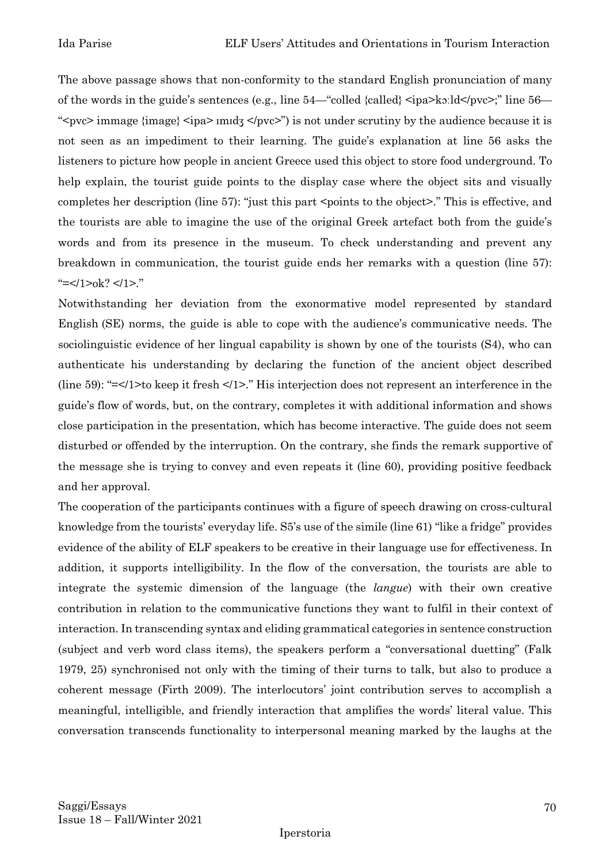The above passage shows that non-conformity to the standard English pronunciation of many of the words in the guide's sentences (e.g., line 54—"colled {called} <ipa>kɔːld</pvc>;" line 56— "<pvc> immage {image} <ipa> ɪmɪdʒ </pvc>") is not under scrutiny by the audience because it is not seen as an impediment to their learning. The guide's explanation at line 56 asks the listeners to picture how people in ancient Greece used this object to store food underground. To help explain, the tourist guide points to the display case where the object sits and visually completes her description (line 57): "just this part <points to the object>." This is effective, and the tourists are able to imagine the use of the original Greek artefact both from the guide's words and from its presence in the museum. To check understanding and prevent any breakdown in communication, the tourist guide ends her remarks with a question (line 57): "  $=<$ /1>ok? </1>."

Notwithstanding her deviation from the exonormative model represented by standard English (SE) norms, the guide is able to cope with the audience's communicative needs. The sociolinguistic evidence of her lingual capability is shown by one of the tourists (S4), who can authenticate his understanding by declaring the function of the ancient object described (line 59): "=</1>to keep it fresh </1>." His interjection does not represent an interference in the guide's flow of words, but, on the contrary, completes it with additional information and shows close participation in the presentation, which has become interactive. The guide does not seem disturbed or offended by the interruption. On the contrary, she finds the remark supportive of the message she is trying to convey and even repeats it (line 60), providing positive feedback and her approval.

The cooperation of the participants continues with a figure of speech drawing on cross-cultural knowledge from the tourists' everyday life. S5's use of the simile (line 61) "like a fridge" provides evidence of the ability of ELF speakers to be creative in their language use for effectiveness. In addition, it supports intelligibility. In the flow of the conversation, the tourists are able to integrate the systemic dimension of the language (the *langue*) with their own creative contribution in relation to the communicative functions they want to fulfil in their context of interaction. In transcending syntax and eliding grammatical categories in sentence construction (subject and verb word class items), the speakers perform a "conversational duetting" (Falk 1979, 25) synchronised not only with the timing of their turns to talk, but also to produce a coherent message (Firth 2009). The interlocutors' joint contribution serves to accomplish a meaningful, intelligible, and friendly interaction that amplifies the words' literal value. This conversation transcends functionality to interpersonal meaning marked by the laughs at the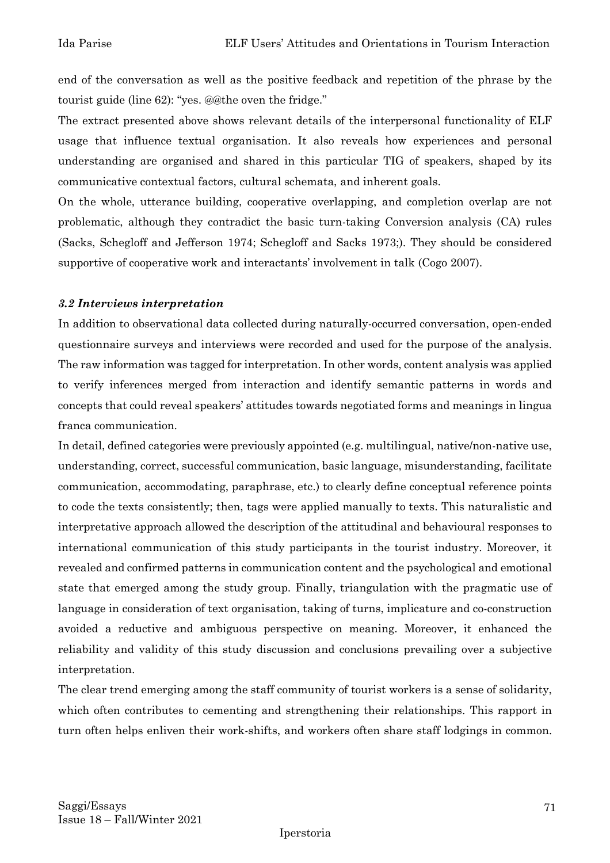end of the conversation as well as the positive feedback and repetition of the phrase by the tourist guide (line 62): "yes. @@the oven the fridge."

The extract presented above shows relevant details of the interpersonal functionality of ELF usage that influence textual organisation. It also reveals how experiences and personal understanding are organised and shared in this particular TIG of speakers, shaped by its communicative contextual factors, cultural schemata, and inherent goals.

On the whole, utterance building, cooperative overlapping, and completion overlap are not problematic, although they contradict the basic turn-taking Conversion analysis (CA) rules (Sacks, Schegloff and Jefferson 1974; Schegloff and Sacks 1973;). They should be considered supportive of cooperative work and interactants' involvement in talk (Cogo 2007).

#### *3.2 Interviews interpretation*

In addition to observational data collected during naturally-occurred conversation, open-ended questionnaire surveys and interviews were recorded and used for the purpose of the analysis. The raw information was tagged for interpretation. In other words, content analysis was applied to verify inferences merged from interaction and identify semantic patterns in words and concepts that could reveal speakers' attitudes towards negotiated forms and meanings in lingua franca communication.

In detail, defined categories were previously appointed (e.g. multilingual, native/non-native use, understanding, correct, successful communication, basic language, misunderstanding, facilitate communication, accommodating, paraphrase, etc.) to clearly define conceptual reference points to code the texts consistently; then, tags were applied manually to texts. This naturalistic and interpretative approach allowed the description of the attitudinal and behavioural responses to international communication of this study participants in the tourist industry. Moreover, it revealed and confirmed patterns in communication content and the psychological and emotional state that emerged among the study group. Finally, triangulation with the pragmatic use of language in consideration of text organisation, taking of turns, implicature and co-construction avoided a reductive and ambiguous perspective on meaning. Moreover, it enhanced the reliability and validity of this study discussion and conclusions prevailing over a subjective interpretation.

The clear trend emerging among the staff community of tourist workers is a sense of solidarity, which often contributes to cementing and strengthening their relationships. This rapport in turn often helps enliven their work-shifts, and workers often share staff lodgings in common.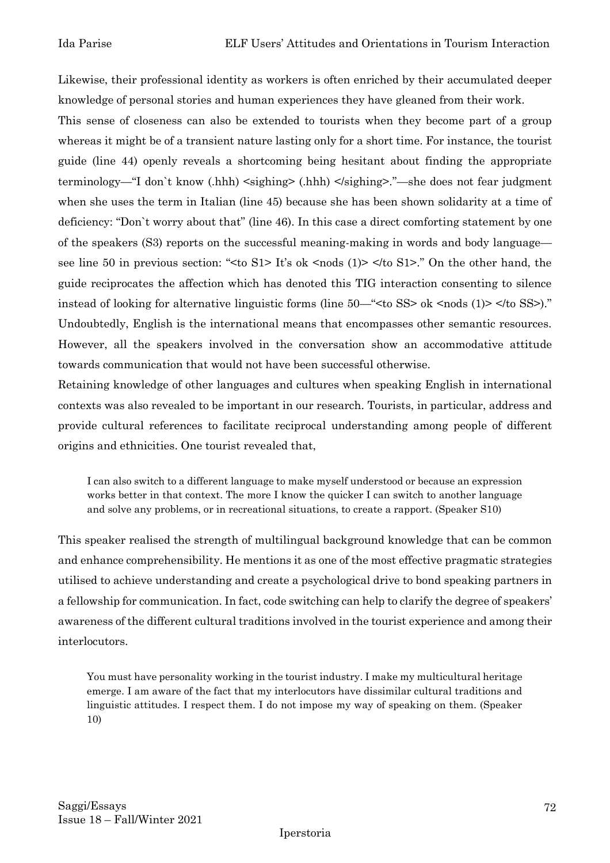Likewise, their professional identity as workers is often enriched by their accumulated deeper knowledge of personal stories and human experiences they have gleaned from their work.

This sense of closeness can also be extended to tourists when they become part of a group whereas it might be of a transient nature lasting only for a short time. For instance, the tourist guide (line 44) openly reveals a shortcoming being hesitant about finding the appropriate terminology—"I don`t know (.hhh) <sighing> (.hhh) </sighing>."—she does not fear judgment when she uses the term in Italian (line 45) because she has been shown solidarity at a time of deficiency: "Don`t worry about that" (line 46). In this case a direct comforting statement by one of the speakers (S3) reports on the successful meaning-making in words and body language see line 50 in previous section: "<to S1> It's ok <nods (1)> </to S1>." On the other hand, the guide reciprocates the affection which has denoted this TIG interaction consenting to silence instead of looking for alternative linguistic forms (line 50—" < to SS > ok <nods (1) > </to SS >)." Undoubtedly, English is the international means that encompasses other semantic resources. However, all the speakers involved in the conversation show an accommodative attitude towards communication that would not have been successful otherwise.

Retaining knowledge of other languages and cultures when speaking English in international contexts was also revealed to be important in our research. Tourists, in particular, address and provide cultural references to facilitate reciprocal understanding among people of different origins and ethnicities. One tourist revealed that,

I can also switch to a different language to make myself understood or because an expression works better in that context. The more I know the quicker I can switch to another language and solve any problems, or in recreational situations, to create a rapport. (Speaker S10)

This speaker realised the strength of multilingual background knowledge that can be common and enhance comprehensibility. He mentions it as one of the most effective pragmatic strategies utilised to achieve understanding and create a psychological drive to bond speaking partners in a fellowship for communication. In fact, code switching can help to clarify the degree of speakers' awareness of the different cultural traditions involved in the tourist experience and among their interlocutors.

You must have personality working in the tourist industry. I make my multicultural heritage emerge. I am aware of the fact that my interlocutors have dissimilar cultural traditions and linguistic attitudes. I respect them. I do not impose my way of speaking on them. (Speaker 10)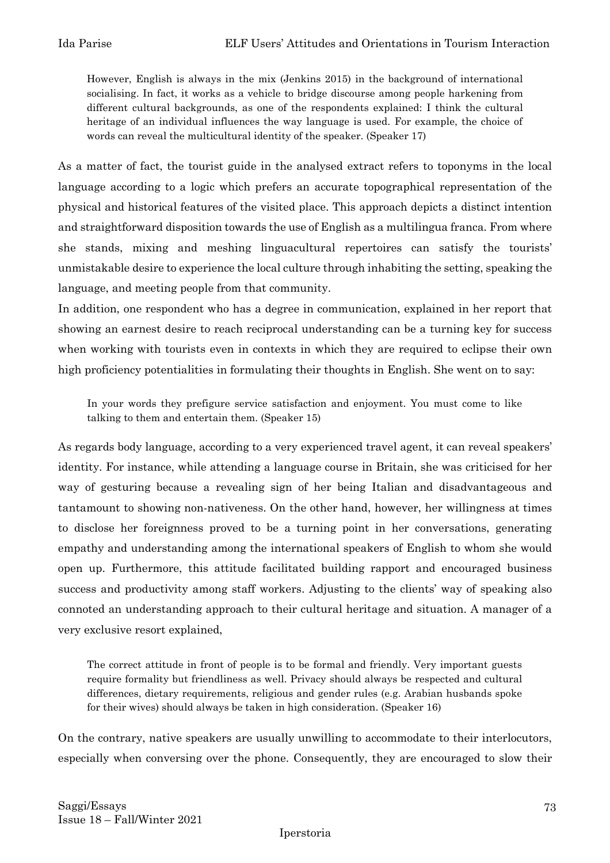However, English is always in the mix (Jenkins 2015) in the background of international socialising. In fact, it works as a vehicle to bridge discourse among people harkening from different cultural backgrounds, as one of the respondents explained: I think the cultural heritage of an individual influences the way language is used. For example, the choice of words can reveal the multicultural identity of the speaker. (Speaker 17)

As a matter of fact, the tourist guide in the analysed extract refers to toponyms in the local language according to a logic which prefers an accurate topographical representation of the physical and historical features of the visited place. This approach depicts a distinct intention and straightforward disposition towards the use of English as a multilingua franca. From where she stands, mixing and meshing linguacultural repertoires can satisfy the tourists' unmistakable desire to experience the local culture through inhabiting the setting, speaking the language, and meeting people from that community.

In addition, one respondent who has a degree in communication, explained in her report that showing an earnest desire to reach reciprocal understanding can be a turning key for success when working with tourists even in contexts in which they are required to eclipse their own high proficiency potentialities in formulating their thoughts in English. She went on to say:

In your words they prefigure service satisfaction and enjoyment. You must come to like talking to them and entertain them. (Speaker 15)

As regards body language, according to a very experienced travel agent, it can reveal speakers' identity. For instance, while attending a language course in Britain, she was criticised for her way of gesturing because a revealing sign of her being Italian and disadvantageous and tantamount to showing non-nativeness. On the other hand, however, her willingness at times to disclose her foreignness proved to be a turning point in her conversations, generating empathy and understanding among the international speakers of English to whom she would open up. Furthermore, this attitude facilitated building rapport and encouraged business success and productivity among staff workers. Adjusting to the clients' way of speaking also connoted an understanding approach to their cultural heritage and situation. A manager of a very exclusive resort explained,

The correct attitude in front of people is to be formal and friendly. Very important guests require formality but friendliness as well. Privacy should always be respected and cultural differences, dietary requirements, religious and gender rules (e.g. Arabian husbands spoke for their wives) should always be taken in high consideration. (Speaker 16)

On the contrary, native speakers are usually unwilling to accommodate to their interlocutors, especially when conversing over the phone. Consequently, they are encouraged to slow their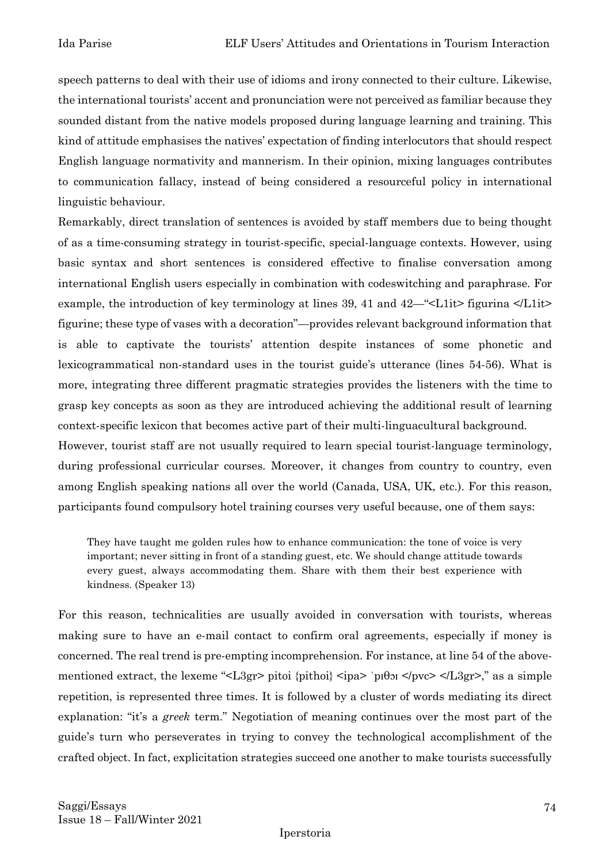speech patterns to deal with their use of idioms and irony connected to their culture. Likewise, the international tourists' accent and pronunciation were not perceived as familiar because they sounded distant from the native models proposed during language learning and training. This kind of attitude emphasises the natives' expectation of finding interlocutors that should respect English language normativity and mannerism. In their opinion, mixing languages contributes to communication fallacy, instead of being considered a resourceful policy in international linguistic behaviour.

Remarkably, direct translation of sentences is avoided by staff members due to being thought of as a time-consuming strategy in tourist-specific, special-language contexts. However, using basic syntax and short sentences is considered effective to finalise conversation among international English users especially in combination with codeswitching and paraphrase. For example, the introduction of key terminology at lines 39, 41 and 42—" $\leq$ L1it> figurina  $\leq$ L1it> figurine; these type of vases with a decoration"—provides relevant background information that is able to captivate the tourists' attention despite instances of some phonetic and lexicogrammatical non-standard uses in the tourist guide's utterance (lines 54-56). What is more, integrating three different pragmatic strategies provides the listeners with the time to grasp key concepts as soon as they are introduced achieving the additional result of learning context-specific lexicon that becomes active part of their multi-linguacultural background.

However, tourist staff are not usually required to learn special tourist-language terminology, during professional curricular courses. Moreover, it changes from country to country, even among English speaking nations all over the world (Canada, USA, UK, etc.). For this reason, participants found compulsory hotel training courses very useful because, one of them says:

They have taught me golden rules how to enhance communication: the tone of voice is very important; never sitting in front of a standing guest, etc. We should change attitude towards every guest, always accommodating them. Share with them their best experience with kindness. (Speaker 13)

For this reason, technicalities are usually avoided in conversation with tourists, whereas making sure to have an e-mail contact to confirm oral agreements, especially if money is concerned. The real trend is pre-empting incomprehension. For instance, at line 54 of the abovementioned extract, the lexeme "<L3gr> pitoi {pithoi} <ipa> 'pιθοι </pvc> </L3gr>," as a simple repetition, is represented three times. It is followed by a cluster of words mediating its direct explanation: "it's a *greek* term." Negotiation of meaning continues over the most part of the guide's turn who perseverates in trying to convey the technological accomplishment of the crafted object. In fact, explicitation strategies succeed one another to make tourists successfully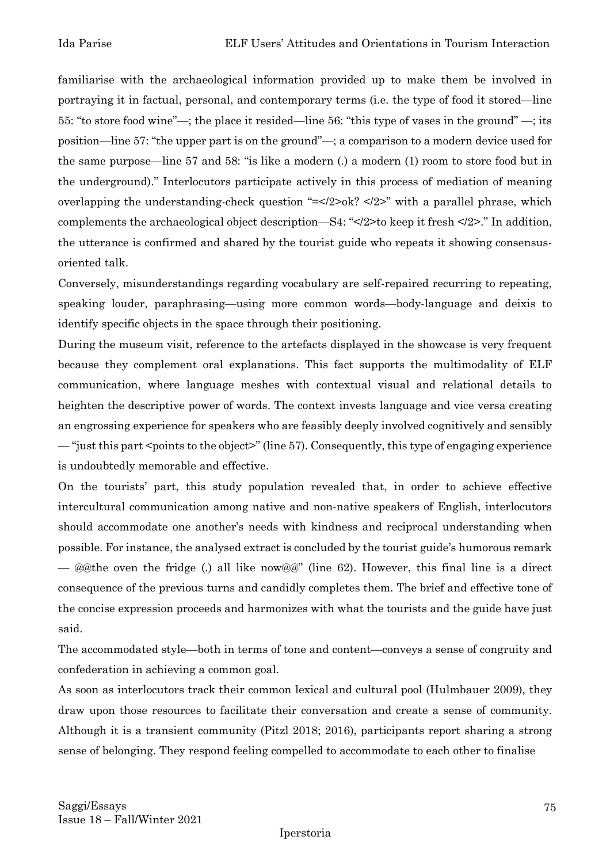familiarise with the archaeological information provided up to make them be involved in portraying it in factual, personal, and contemporary terms (i.e. the type of food it stored—line 55: "to store food wine"—; the place it resided—line 56: "this type of vases in the ground" —; its position—line 57: "the upper part is on the ground"—; a comparison to a modern device used for the same purpose—line 57 and 58: "is like a modern (.) a modern (1) room to store food but in the underground)." Interlocutors participate actively in this process of mediation of meaning overlapping the understanding-check question "=</2>ok? </2>" with a parallel phrase, which complements the archaeological object description—S4: "</2>to keep it fresh </2>." In addition, the utterance is confirmed and shared by the tourist guide who repeats it showing consensusoriented talk.

Conversely, misunderstandings regarding vocabulary are self-repaired recurring to repeating, speaking louder, paraphrasing—using more common words—body-language and deixis to identify specific objects in the space through their positioning.

During the museum visit, reference to the artefacts displayed in the showcase is very frequent because they complement oral explanations. This fact supports the multimodality of ELF communication, where language meshes with contextual visual and relational details to heighten the descriptive power of words. The context invests language and vice versa creating an engrossing experience for speakers who are feasibly deeply involved cognitively and sensibly — "just this part <points to the object>" (line 57). Consequently, this type of engaging experience is undoubtedly memorable and effective.

On the tourists' part, this study population revealed that, in order to achieve effective intercultural communication among native and non-native speakers of English, interlocutors should accommodate one another's needs with kindness and reciprocal understanding when possible. For instance, the analysed extract is concluded by the tourist guide's humorous remark — @@the oven the fridge (.) all like now@@" (line 62). However, this final line is a direct consequence of the previous turns and candidly completes them. The brief and effective tone of the concise expression proceeds and harmonizes with what the tourists and the guide have just said.

The accommodated style—both in terms of tone and content—conveys a sense of congruity and confederation in achieving a common goal.

As soon as interlocutors track their common lexical and cultural pool (Hulmbauer 2009), they draw upon those resources to facilitate their conversation and create a sense of community. Although it is a transient community (Pitzl 2018; 2016), participants report sharing a strong sense of belonging. They respond feeling compelled to accommodate to each other to finalise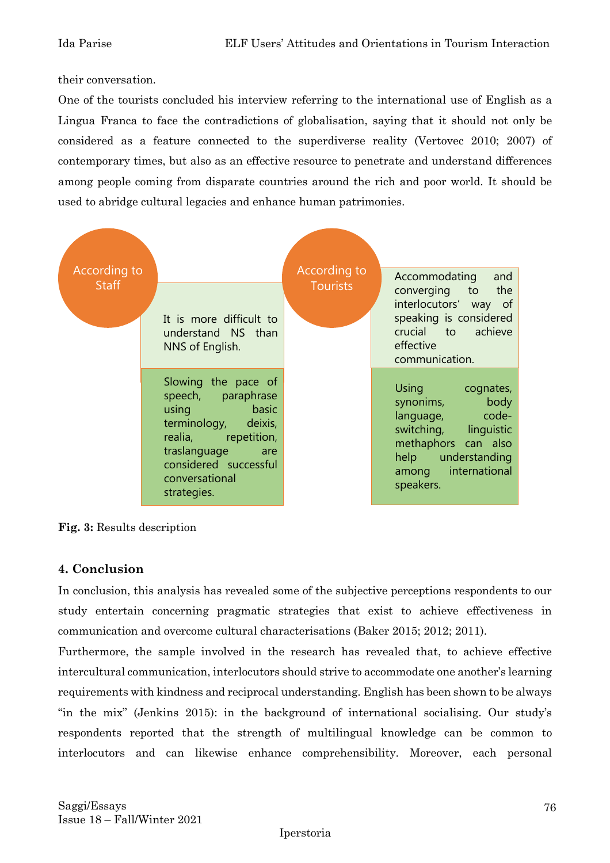their conversation.

One of the tourists concluded his interview referring to the international use of English as a Lingua Franca to face the contradictions of globalisation, saying that it should not only be considered as a feature connected to the superdiverse reality (Vertovec 2010; 2007) of contemporary times, but also as an effective resource to penetrate and understand differences among people coming from disparate countries around the rich and poor world. It should be used to abridge cultural legacies and enhance human patrimonies.





#### **4. Conclusion**

In conclusion, this analysis has revealed some of the subjective perceptions respondents to our study entertain concerning pragmatic strategies that exist to achieve effectiveness in communication and overcome cultural characterisations (Baker 2015; 2012; 2011).

Furthermore, the sample involved in the research has revealed that, to achieve effective intercultural communication, interlocutors should strive to accommodate one another's learning requirements with kindness and reciprocal understanding. English has been shown to be always "in the mix" (Jenkins 2015): in the background of international socialising. Our study's respondents reported that the strength of multilingual knowledge can be common to interlocutors and can likewise enhance comprehensibility. Moreover, each personal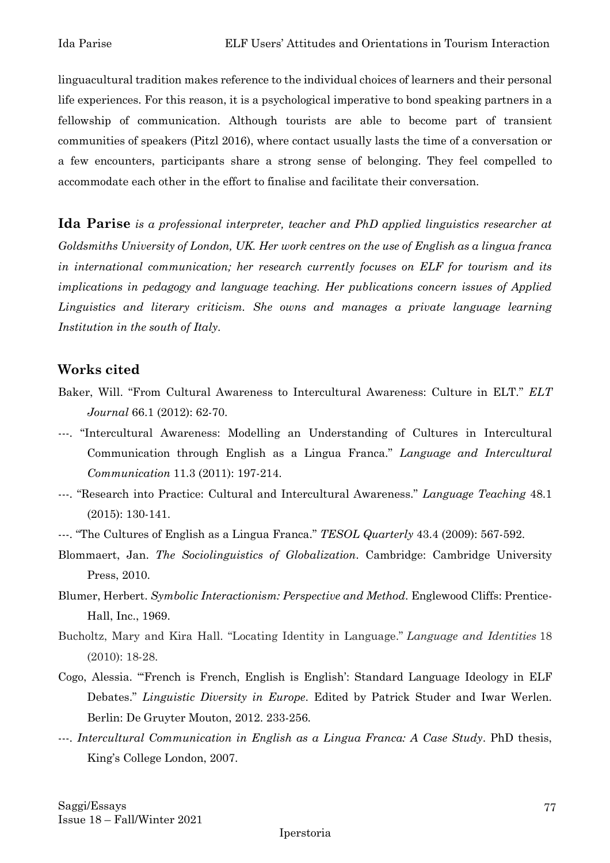linguacultural tradition makes reference to the individual choices of learners and their personal life experiences. For this reason, it is a psychological imperative to bond speaking partners in a fellowship of communication. Although tourists are able to become part of transient communities of speakers (Pitzl 2016), where contact usually lasts the time of a conversation or a few encounters, participants share a strong sense of belonging. They feel compelled to accommodate each other in the effort to finalise and facilitate their conversation.

**Ida Parise** *is a professional interpreter, teacher and PhD applied linguistics researcher at Goldsmiths University of London, UK. Her work centres on the use of English as a lingua franca in international communication; her research currently focuses on ELF for tourism and its implications in pedagogy and language teaching. Her publications concern issues of Applied Linguistics and literary criticism. She owns and manages a private language learning Institution in the south of Italy.*

## **Works cited**

- Baker, Will. "From Cultural Awareness to Intercultural Awareness: Culture in ELT." *ELT Journal* 66.1 (2012): 62-70.
- ---. "Intercultural Awareness: Modelling an Understanding of Cultures in Intercultural Communication through English as a Lingua Franca." *Language and Intercultural Communication* 11.3 (2011): 197-214.
- ---. "Research into Practice: Cultural and Intercultural Awareness." *Language Teaching* 48.1 (2015): 130-141.
- ---. "The Cultures of English as a Lingua Franca." *TESOL Quarterly* 43.4 (2009): 567-592.
- Blommaert, Jan. *The Sociolinguistics of Globalization*. Cambridge: Cambridge University Press, 2010.
- Blumer, Herbert. *Symbolic Interactionism: Perspective and Method*. Englewood Cliffs: Prentice-Hall, Inc., 1969.
- Bucholtz, Mary and Kira Hall. "Locating Identity in Language." *Language and Identities* 18 (2010): 18-28.
- Cogo, Alessia. "'French is French, English is English': Standard Language Ideology in ELF Debates." *Linguistic Diversity in Europe*. Edited by Patrick Studer and Iwar Werlen. Berlin: De Gruyter Mouton, 2012. 233-256.
- ---. *Intercultural Communication in English as a Lingua Franca: A Case Study*. PhD thesis, King's College London, 2007.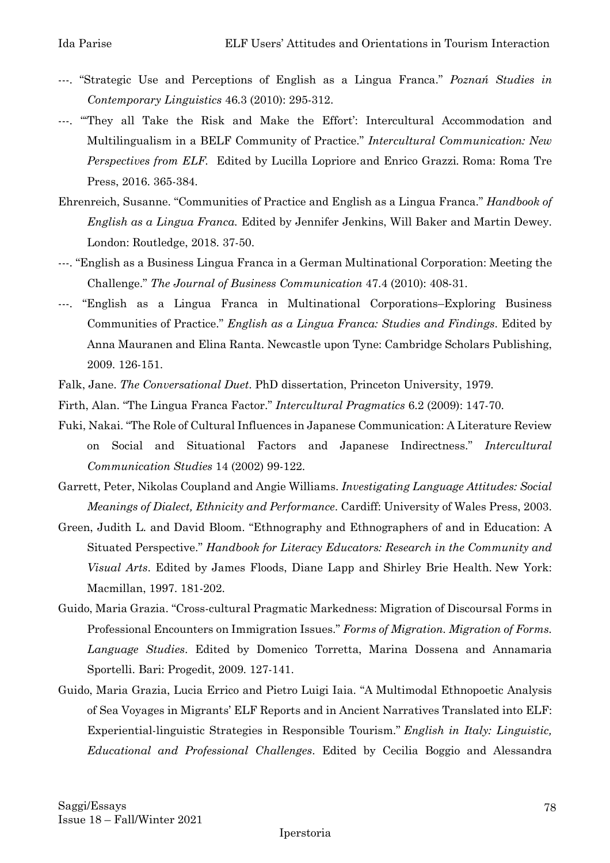- ---. "Strategic Use and Perceptions of English as a Lingua Franca." *Poznań Studies in Contemporary Linguistics* 46.3 (2010): 295-312.
- ---. "'They all Take the Risk and Make the Effort': Intercultural Accommodation and Multilingualism in a BELF Community of Practice." *Intercultural Communication: New Perspectives from ELF.* Edited by Lucilla Lopriore and Enrico Grazzi*.* Roma: Roma Tre Press, 2016. 365-384.
- Ehrenreich, Susanne. "Communities of Practice and English as a Lingua Franca." *Handbook of English as a Lingua Franca.* Edited by Jennifer Jenkins, Will Baker and Martin Dewey. London: Routledge, 2018. 37-50.
- ---. "English as a Business Lingua Franca in a German Multinational Corporation: Meeting the Challenge." *The Journal of Business Communication* 47.4 (2010): 408-31.
- ---. "English as a Lingua Franca in Multinational Corporations–Exploring Business Communities of Practice." *English as a Lingua Franca: Studies and Findings*. Edited by Anna Mauranen and Elina Ranta. Newcastle upon Tyne: Cambridge Scholars Publishing, 2009. 126-151.
- Falk, Jane. *The Conversational Duet*. PhD dissertation, Princeton University, 1979.
- Firth, Alan. "The Lingua Franca Factor." *Intercultural Pragmatics* 6.2 (2009): 147-70.
- Fuki, Nakai. "The Role of Cultural Influences in Japanese Communication: A Literature Review on Social and Situational Factors and Japanese Indirectness." *Intercultural Communication Studies* 14 (2002) 99-122.
- Garrett, Peter, Nikolas Coupland and Angie Williams. *Investigating Language Attitudes: Social Meanings of Dialect, Ethnicity and Performance*. Cardiff: University of Wales Press, 2003.
- Green, Judith L. and David Bloom. "Ethnography and Ethnographers of and in Education: A Situated Perspective." *Handbook for Literacy Educators: Research in the Community and Visual Arts*. Edited by James Floods, Diane Lapp and Shirley Brie Health. New York: Macmillan, 1997. 181-202.
- Guido, Maria Grazia. "Cross-cultural Pragmatic Markedness: Migration of Discoursal Forms in Professional Encounters on Immigration Issues." *Forms of Migration. Migration of Forms. Language Studies*. Edited by Domenico Torretta, Marina Dossena and Annamaria Sportelli. Bari: Progedit, 2009. 127-141.
- Guido, Maria Grazia, Lucia Errico and Pietro Luigi Iaia. "A Multimodal Ethnopoetic Analysis of Sea Voyages in Migrants' ELF Reports and in Ancient Narratives Translated into ELF: Experiential-linguistic Strategies in Responsible Tourism." *English in Italy: Linguistic, Educational and Professional Challenges*. Edited by Cecilia Boggio and Alessandra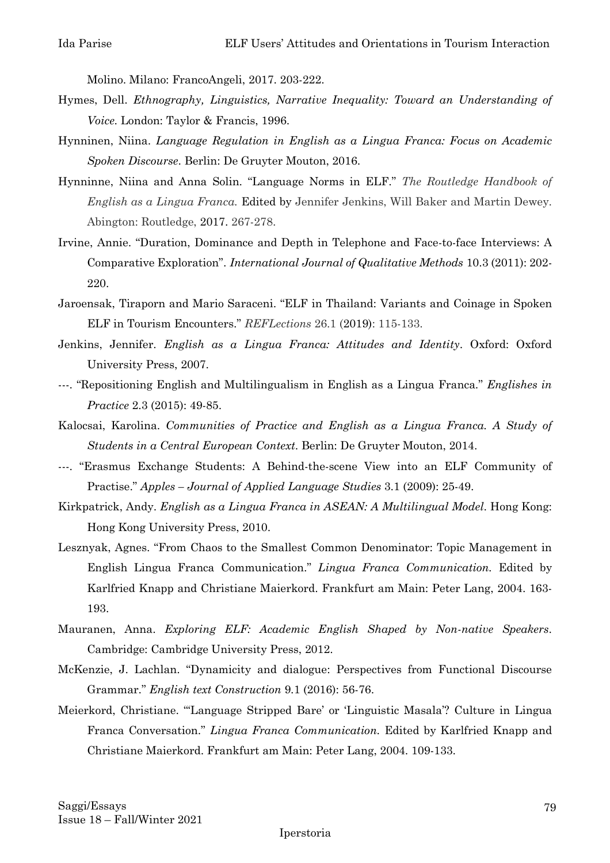Molino. Milano: FrancoAngeli, 2017. 203-222.

- Hymes, Dell. *Ethnography, Linguistics, Narrative Inequality: Toward an Understanding of Voice.* London: Taylor & Francis, 1996.
- Hynninen, Niina. *Language Regulation in English as a Lingua Franca: Focus on Academic Spoken Discourse*. Berlin: De Gruyter Mouton, 2016.
- Hynninne, Niina and Anna Solin. "Language Norms in ELF." *The Routledge Handbook of English as a Lingua Franca.* Edited by Jennifer Jenkins, Will Baker and Martin Dewey. Abington: Routledge, 2017. 267-278.
- Irvine, Annie. "Duration, Dominance and Depth in Telephone and Face-to-face Interviews: A Comparative Exploration". *International Journal of Qualitative Methods* 10.3 (2011): 202- 220.
- Jaroensak, Tiraporn and Mario Saraceni. "ELF in Thailand: Variants and Coinage in Spoken ELF in Tourism Encounters." *REFLections* 26.1 (2019): 115-133.
- Jenkins, Jennifer. *English as a Lingua Franca: Attitudes and Identity*. Oxford: Oxford University Press, 2007.
- ---. "Repositioning English and Multilingualism in English as a Lingua Franca." *Englishes in Practice* 2.3 (2015): 49-85.
- Kalocsai, Karolina. *Communities of Practice and English as a Lingua Franca. A Study of Students in a Central European Context*. Berlin: De Gruyter Mouton, 2014.
- ---. "Erasmus Exchange Students: A Behind-the-scene View into an ELF Community of Practise." *Apples – Journal of Applied Language Studies* 3.1 (2009): 25-49.
- Kirkpatrick, Andy. *English as a Lingua Franca in ASEAN: A Multilingual Model*. Hong Kong: Hong Kong University Press, 2010.
- Lesznyak, Agnes. "From Chaos to the Smallest Common Denominator: Topic Management in English Lingua Franca Communication." *Lingua Franca Communication.* Edited by Karlfried Knapp and Christiane Maierkord. Frankfurt am Main: Peter Lang, 2004. 163- 193.
- Mauranen, Anna. *Exploring ELF: Academic English Shaped by Non-native Speakers*. Cambridge: Cambridge University Press, 2012.
- McKenzie, J. Lachlan. "Dynamicity and dialogue: Perspectives from Functional Discourse Grammar." *English text Construction* 9.1 (2016): 56-76.
- Meierkord, Christiane. "'Language Stripped Bare' or 'Linguistic Masala'? Culture in Lingua Franca Conversation." *Lingua Franca Communication.* Edited by Karlfried Knapp and Christiane Maierkord. Frankfurt am Main: Peter Lang, 2004. 109-133.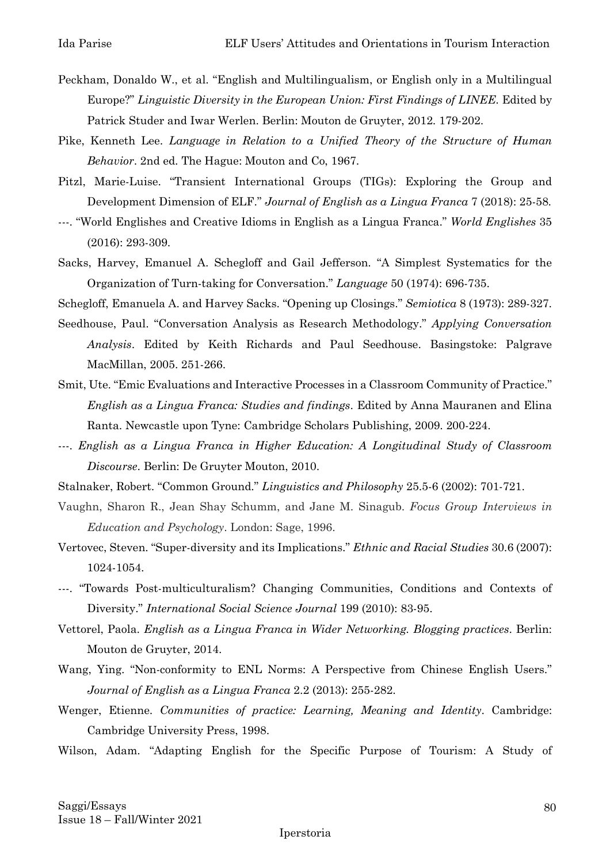- Peckham, Donaldo W., et al. "English and Multilingualism, or English only in a Multilingual Europe?" *Linguistic Diversity in the European Union: First Findings of LINEE*. Edited by Patrick Studer and Iwar Werlen. Berlin: Mouton de Gruyter, 2012. 179-202.
- Pike, Kenneth Lee. *Language in Relation to a Unified Theory of the Structure of Human Behavior*. 2nd ed. The Hague: Mouton and Co, 1967.
- Pitzl, Marie-Luise. "Transient International Groups (TIGs): Exploring the Group and Development Dimension of ELF." *Journal of English as a Lingua Franca* 7 (2018): 25-58.
- ---. "World Englishes and Creative Idioms in English as a Lingua Franca." *World Englishes* 35 (2016): 293-309.
- Sacks, Harvey, Emanuel A. Schegloff and Gail Jefferson. "A Simplest Systematics for the Organization of Turn-taking for Conversation." *Language* 50 (1974): 696-735.

Schegloff, Emanuela A. and Harvey Sacks. "Opening up Closings." *Semiotica* 8 (1973): 289-327.

- Seedhouse, Paul. "Conversation Analysis as Research Methodology." *Applying Conversation Analysis*. Edited by Keith Richards and Paul Seedhouse. Basingstoke: Palgrave MacMillan, 2005. 251-266.
- Smit, Ute. "Emic Evaluations and Interactive Processes in a Classroom Community of Practice." *English as a Lingua Franca: Studies and findings*. Edited by Anna Mauranen and Elina Ranta. Newcastle upon Tyne: Cambridge Scholars Publishing, 2009. 200-224.
- ---. *English as a Lingua Franca in Higher Education: A Longitudinal Study of Classroom Discourse*. Berlin: De Gruyter Mouton, 2010.
- Stalnaker, Robert. "Common Ground." *Linguistics and Philosophy* 25.5-6 (2002): 701-721.
- Vaughn, Sharon R., Jean Shay Schumm, and Jane M. Sinagub. *Focus Group Interviews in Education and Psychology*. London: Sage, 1996.
- Vertovec, Steven. "Super-diversity and its Implications." *Ethnic and Racial Studies* 30.6 (2007): 1024-1054.
- ---. "Towards Post-multiculturalism? Changing Communities, Conditions and Contexts of Diversity." *International Social Science Journal* 199 (2010): 83-95.
- Vettorel, Paola. *English as a Lingua Franca in Wider Networking. Blogging practices*. Berlin: Mouton de Gruyter, 2014.
- Wang, Ying. "Non-conformity to ENL Norms: A Perspective from Chinese English Users." *Journal of English as a Lingua Franca* 2.2 (2013): 255-282.
- Wenger, Etienne. *Communities of practice: Learning, Meaning and Identity*. Cambridge: Cambridge University Press, 1998.
- Wilson, Adam. "Adapting English for the Specific Purpose of Tourism: A Study of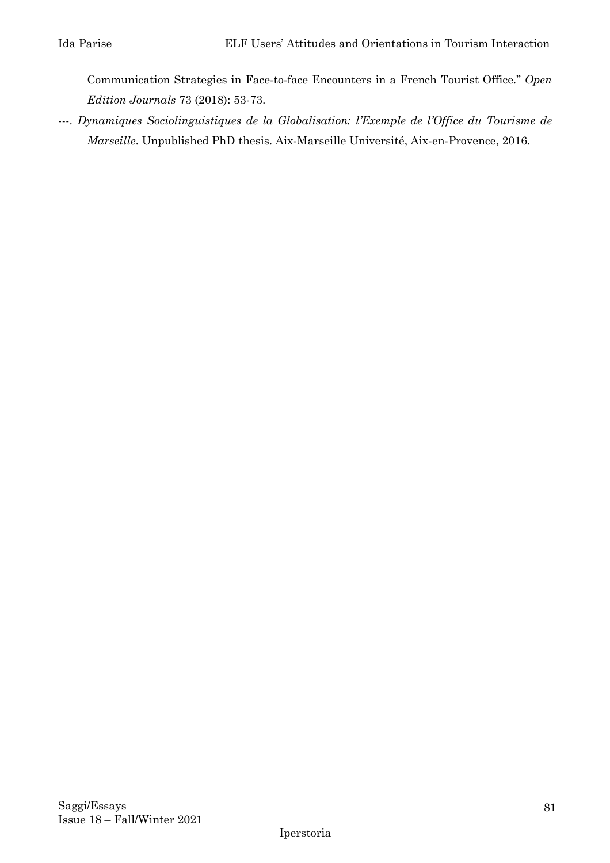Communication Strategies in Face-to-face Encounters in a French Tourist Office." *Open Edition Journals* 73 (2018): 53-73.

---. *Dynamiques Sociolinguistiques de la Globalisation: l'Exemple de l'Office du Tourisme de Marseille*. Unpublished PhD thesis. Aix-Marseille Université, Aix-en-Provence, 2016.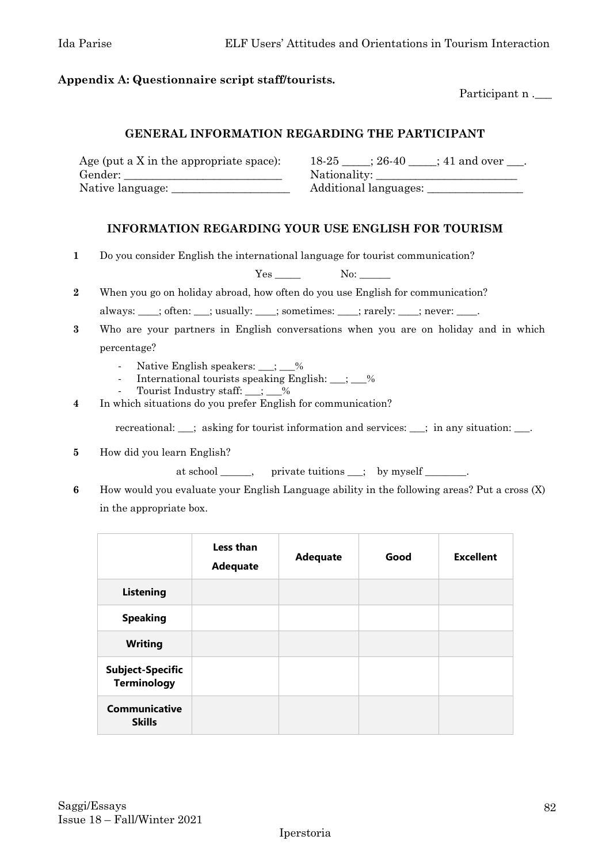#### **Appendix A: Questionnaire script staff/tourists.**

Participant n .\_\_\_\_\_

#### **GENERAL INFORMATION REGARDING THE PARTICIPANT**

| Age (put a X in the appropriate space): | 18-25<br>$\div 41$ and over<br>$: 26-40$ |
|-----------------------------------------|------------------------------------------|
| Gender:                                 | Nationality:                             |
| Native language:                        | Additional languages:                    |

#### **INFORMATION REGARDING YOUR USE ENGLISH FOR TOURISM**

**1** Do you consider English the international language for tourist communication?

Yes \_\_\_\_\_\_ No: \_\_\_\_\_ **2** When you go on holiday abroad, how often do you use English for communication?

always: \_\_\_\_; often: \_\_\_; usually: \_\_\_\_; sometimes: \_\_\_\_; rarely: \_\_\_\_; never: \_\_\_\_.

- **3** Who are your partners in English conversations when you are on holiday and in which percentage?
	- Native English speakers: \_\_\_; \_\_%
	- International tourists speaking English:  $\_\_; \_\_\_\$
	- Tourist Industry staff:  $\frac{\ }{2}$   $\frac{1}{2}$   $\frac{1}{2}$  %
- **4** In which situations do you prefer English for communication?

recreational: \_\_\_; asking for tourist information and services: \_\_\_; in any situation: \_\_\_.

**5** How did you learn English?

at school \_\_\_\_\_, private tuitions \_\_; by myself \_\_\_\_\_\_.

**6** How would you evaluate your English Language ability in the following areas? Put a cross (X) in the appropriate box.

|                                               | Less than<br><b>Adequate</b> | <b>Adequate</b> | Good | <b>Excellent</b> |
|-----------------------------------------------|------------------------------|-----------------|------|------------------|
| <b>Listening</b>                              |                              |                 |      |                  |
| <b>Speaking</b>                               |                              |                 |      |                  |
| <b>Writing</b>                                |                              |                 |      |                  |
| <b>Subject-Specific</b><br><b>Terminology</b> |                              |                 |      |                  |
| <b>Communicative</b><br><b>Skills</b>         |                              |                 |      |                  |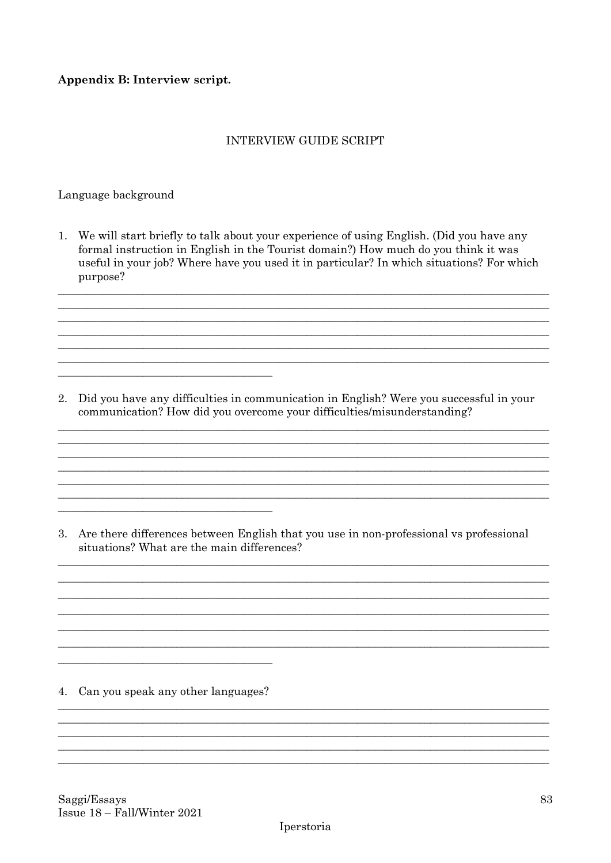#### Appendix B: Interview script.

#### **INTERVIEW GUIDE SCRIPT**

#### Language background

1. We will start briefly to talk about your experience of using English. (Did you have any formal instruction in English in the Tourist domain?) How much do you think it was useful in your job? Where have you used it in particular? In which situations? For which purpose?

2. Did you have any difficulties in communication in English? Were you successful in your communication? How did you overcome your difficulties/misunderstanding?

3. Are there differences between English that you use in non-professional vs professional situations? What are the main differences?

4. Can you speak any other languages?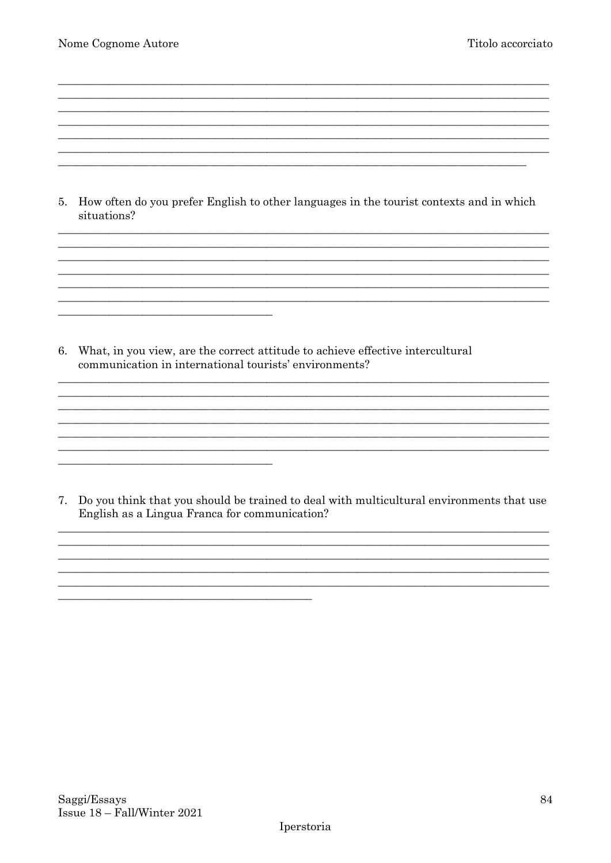5. How often do you prefer English to other languages in the tourist contexts and in which situations?

<u> 1989 - Johann Stoff, amerikansk politiker (\* 1908)</u> <u> 1980 - John Stein, Amerikaansk politiker († 1908)</u>

6. What, in you view, are the correct attitude to achieve effective intercultural communication in international tourists' environments?

7. Do you think that you should be trained to deal with multicultural environments that use English as a Lingua Franca for communication?